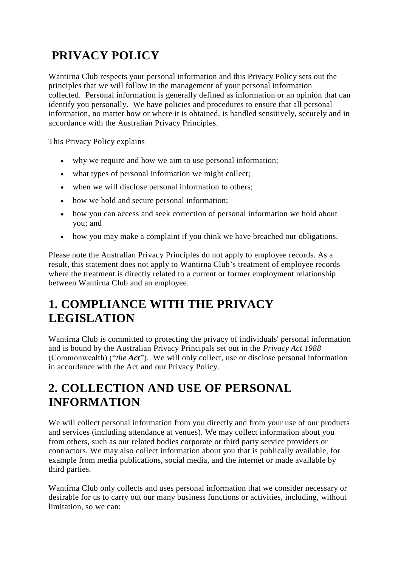# **PRIVACY POLICY**

Wantirna Club respects your personal information and this Privacy Policy sets out the principles that we will follow in the management of your personal information collected. Personal information is generally defined as information or an opinion that can identify you personally. We have policies and procedures to ensure that all personal information, no matter how or where it is obtained, is handled sensitively, securely and in accordance with the Australian Privacy Principles.

This Privacy Policy explains

- why we require and how we aim to use personal information;
- what types of personal information we might collect;
- when we will disclose personal information to others;
- how we hold and secure personal information;
- how you can access and seek correction of personal information we hold about you; and
- how you may make a complaint if you think we have breached our obligations.

Please note the Australian Privacy Principles do not apply to employee records. As a result, this statement does not apply to Wantirna Club's treatment of employee records where the treatment is directly related to a current or former employment relationship between Wantirna Club and an employee.

#### **1. COMPLIANCE WITH THE PRIVACY LEGISLATION**

Wantirna Club is committed to protecting the privacy of individuals' personal information and is bound by the Australian Privacy Principals set out in the *Privacy Act 1988*  (Commonwealth) ("*the Act*"). We will only collect, use or disclose personal information in accordance with the Act and our Privacy Policy.

#### **2. COLLECTION AND USE OF PERSONAL INFORMATION**

We will collect personal information from you directly and from your use of our products and services (including attendance at venues). We may collect information about you from others, such as our related bodies corporate or third party service providers or contractors. We may also collect information about you that is publically available, for example from media publications, social media, and the internet or made available by third parties.

Wantirna Club only collects and uses personal information that we consider necessary or desirable for us to carry out our many business functions or activities, including, without limitation, so we can: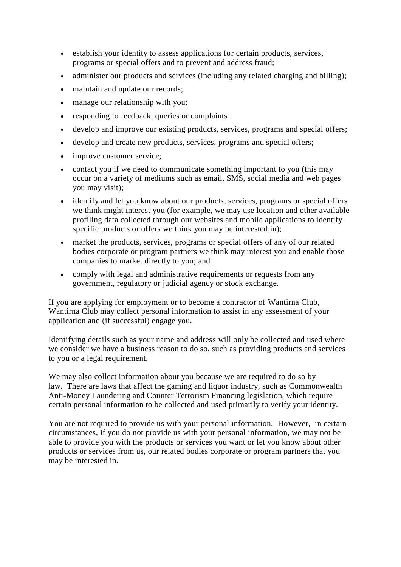- establish your identity to assess applications for certain products, services, programs or special offers and to prevent and address fraud;
- administer our products and services (including any related charging and billing);
- maintain and update our records;
- manage our relationship with you;
- responding to feedback, queries or complaints
- develop and improve our existing products, services, programs and special offers;
- develop and create new products, services, programs and special offers;
- improve customer service;
- contact you if we need to communicate something important to you (this may occur on a variety of mediums such as email, SMS, social media and web pages you may visit);
- identify and let you know about our products, services, programs or special offers we think might interest you (for example, we may use location and other available profiling data collected through our websites and mobile applications to identify specific products or offers we think you may be interested in);
- market the products, services, programs or special offers of any of our related bodies corporate or program partners we think may interest you and enable those companies to market directly to you; and
- comply with legal and administrative requirements or requests from any government, regulatory or judicial agency or stock exchange.

If you are applying for employment or to become a contractor of Wantirna Club, Wantirna Club may collect personal information to assist in any assessment of your application and (if successful) engage you.

Identifying details such as your name and address will only be collected and used where we consider we have a business reason to do so, such as providing products and services to you or a legal requirement.

We may also collect information about you because we are required to do so by law. There are laws that affect the gaming and liquor industry, such as Commonwealth Anti-Money Laundering and Counter Terrorism Financing legislation, which require certain personal information to be collected and used primarily to verify your identity.

You are not required to provide us with your personal information. However, in certain circumstances, if you do not provide us with your personal information, we may not be able to provide you with the products or services you want or let you know about other products or services from us, our related bodies corporate or program partners that you may be interested in.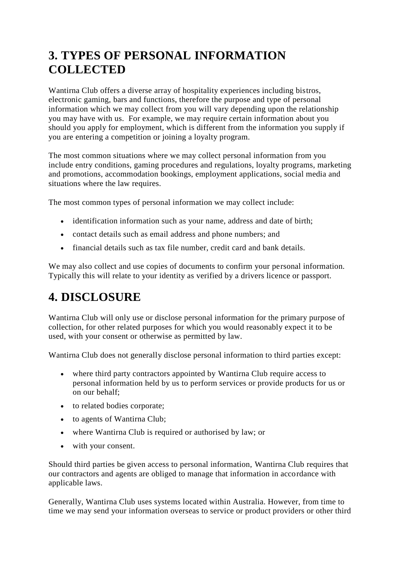### **3. TYPES OF PERSONAL INFORMATION COLLECTED**

Wantirna Club offers a diverse array of hospitality experiences including bistros, electronic gaming, bars and functions, therefore the purpose and type of personal information which we may collect from you will vary depending upon the relationship you may have with us. For example, we may require certain information about you should you apply for employment, which is different from the information you supply if you are entering a competition or joining a loyalty program.

The most common situations where we may collect personal information from you include entry conditions, gaming procedures and regulations, loyalty programs, marketing and promotions, accommodation bookings, employment applications, social media and situations where the law requires.

The most common types of personal information we may collect include:

- identification information such as your name, address and date of birth;
- contact details such as email address and phone numbers; and
- financial details such as tax file number, credit card and bank details.

We may also collect and use copies of documents to confirm your personal information. Typically this will relate to your identity as verified by a drivers licence or passport.

### **4. DISCLOSURE**

Wantirna Club will only use or disclose personal information for the primary purpose of collection, for other related purposes for which you would reasonably expect it to be used, with your consent or otherwise as permitted by law.

Wantirna Club does not generally disclose personal information to third parties except:

- where third party contractors appointed by Wantirna Club require access to personal information held by us to perform services or provide products for us or on our behalf;
- to related bodies corporate;
- to agents of Wantirna Club;
- where Wantirna Club is required or authorised by law; or
- with your consent.

Should third parties be given access to personal information, Wantirna Club requires that our contractors and agents are obliged to manage that information in accordance with applicable laws.

Generally, Wantirna Club uses systems located within Australia. However, from time to time we may send your information overseas to service or product providers or other third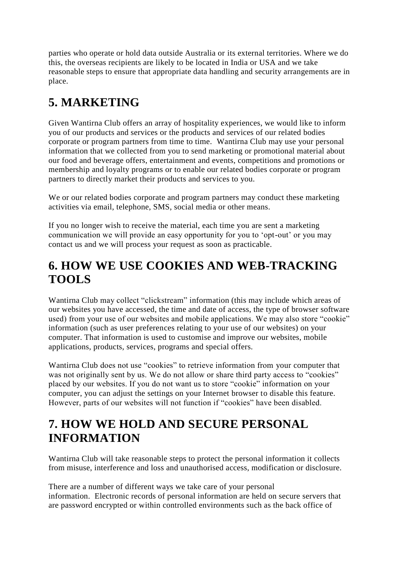parties who operate or hold data outside Australia or its external territories. Where we do this, the overseas recipients are likely to be located in India or USA and we take reasonable steps to ensure that appropriate data handling and security arrangements are in place.

## **5. MARKETING**

Given Wantirna Club offers an array of hospitality experiences, we would like to inform you of our products and services or the products and services of our related bodies corporate or program partners from time to time. Wantirna Club may use your personal information that we collected from you to send marketing or promotional material about our food and beverage offers, entertainment and events, competitions and promotions or membership and loyalty programs or to enable our related bodies corporate or program partners to directly market their products and services to you.

We or our related bodies corporate and program partners may conduct these marketing activities via email, telephone, SMS, social media or other means.

If you no longer wish to receive the material, each time you are sent a marketing communication we will provide an easy opportunity for you to 'opt-out' or you may contact us and we will process your request as soon as practicable.

#### **6. HOW WE USE COOKIES AND WEB-TRACKING TOOLS**

Wantirna Club may collect "clickstream" information (this may include which areas of our websites you have accessed, the time and date of access, the type of browser software used) from your use of our websites and mobile applications. We may also store "cookie" information (such as user preferences relating to your use of our websites) on your computer. That information is used to customise and improve our websites, mobile applications, products, services, programs and special offers.

Wantirna Club does not use "cookies" to retrieve information from your computer that was not originally sent by us. We do not allow or share third party access to "cookies" placed by our websites. If you do not want us to store "cookie" information on your computer, you can adjust the settings on your Internet browser to disable this feature. However, parts of our websites will not function if "cookies" have been disabled.

#### **7. HOW WE HOLD AND SECURE PERSONAL INFORMATION**

Wantirna Club will take reasonable steps to protect the personal information it collects from misuse, interference and loss and unauthorised access, modification or disclosure.

There are a number of different ways we take care of your personal information. Electronic records of personal information are held on secure servers that are password encrypted or within controlled environments such as the back office of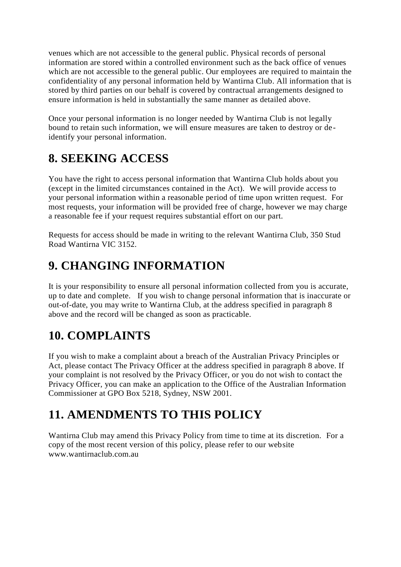venues which are not accessible to the general public. Physical records of personal information are stored within a controlled environment such as the back office of venues which are not accessible to the general public. Our employees are required to maintain the confidentiality of any personal information held by Wantirna Club. All information that is stored by third parties on our behalf is covered by contractual arrangements designed to ensure information is held in substantially the same manner as detailed above.

Once your personal information is no longer needed by Wantirna Club is not legally bound to retain such information, we will ensure measures are taken to destroy or deidentify your personal information.

## **8. SEEKING ACCESS**

You have the right to access personal information that Wantirna Club holds about you (except in the limited circumstances contained in the Act). We will provide access to your personal information within a reasonable period of time upon written request. For most requests, your information will be provided free of charge, however we may charge a reasonable fee if your request requires substantial effort on our part.

Requests for access should be made in writing to the relevant Wantirna Club, 350 Stud Road Wantirna VIC 3152.

## **9. CHANGING INFORMATION**

It is your responsibility to ensure all personal information collected from you is accurate, up to date and complete. If you wish to change personal information that is inaccurate or out-of-date, you may write to Wantirna Club, at the address specified in paragraph 8 above and the record will be changed as soon as practicable.

## **10. COMPLAINTS**

If you wish to make a complaint about a breach of the Australian Privacy Principles or Act, please contact The Privacy Officer at the address specified in paragraph 8 above. If your complaint is not resolved by the Privacy Officer, or you do not wish to contact the Privacy Officer, you can make an application to the Office of the Australian Information Commissioner at GPO Box 5218, Sydney, NSW 2001.

### **11. AMENDMENTS TO THIS POLICY**

Wantirna Club may amend this Privacy Policy from time to time at its discretion. For a copy of the most recent version of this policy, please refer to our website www.wantirnaclub.com.au